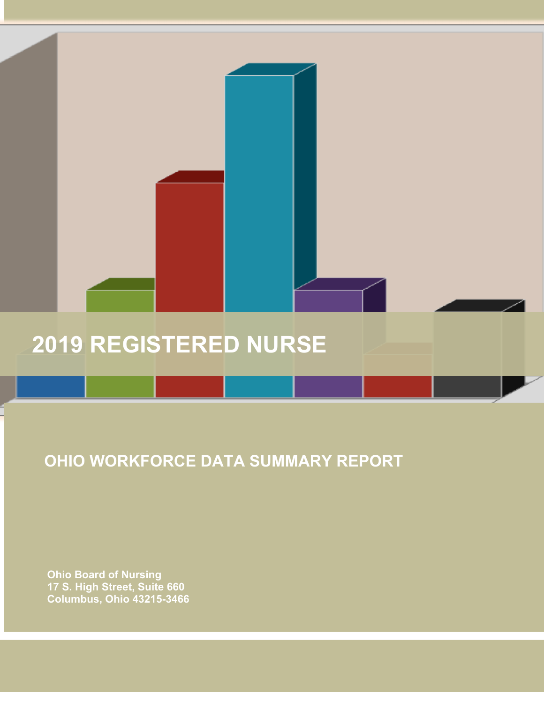# **2019 REGISTERED NURSE**

## **OHIO WORKFORCE DATA SUMMARY REPORT**

 **Ohio Board of Nursing 17 S. High Street, Suite 660 Columbus, Ohio 43215-3466**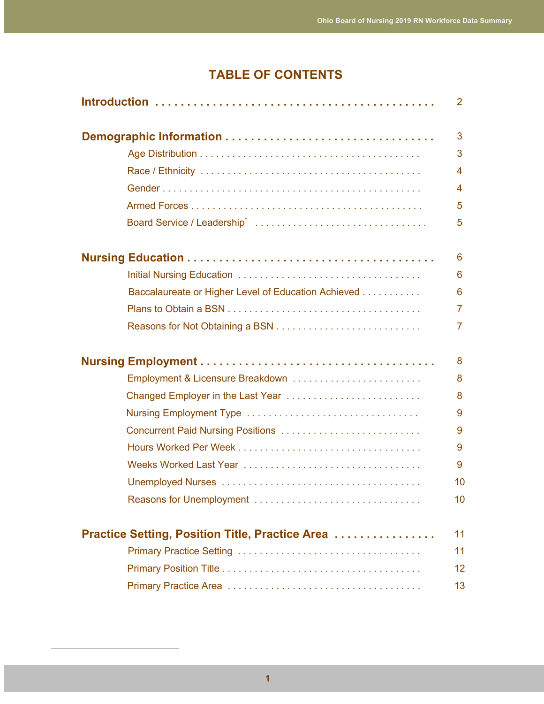### **TABLE OF CONTENTS**

|                                                     | $\mathbf{2}^{\prime}$ |
|-----------------------------------------------------|-----------------------|
|                                                     | 3                     |
|                                                     | 3                     |
|                                                     | 4                     |
|                                                     | 4                     |
|                                                     | 5                     |
|                                                     | 5                     |
|                                                     | 6                     |
|                                                     | 6                     |
| Baccalaureate or Higher Level of Education Achieved | 6                     |
|                                                     | $\overline{7}$        |
|                                                     | 7                     |
|                                                     | 8                     |
| Employment & Licensure Breakdown                    | 8                     |
| Changed Employer in the Last Year                   | 8                     |
|                                                     | 9                     |
| Concurrent Paid Nursing Positions                   | 9                     |
|                                                     | 9                     |
|                                                     | 9                     |
|                                                     | 10                    |
| Reasons for Unemployment                            | 10 <sup>°</sup>       |
| Practice Setting, Position Title, Practice Area     | 11                    |
|                                                     | 11                    |
|                                                     | 12                    |
|                                                     | 13                    |
|                                                     |                       |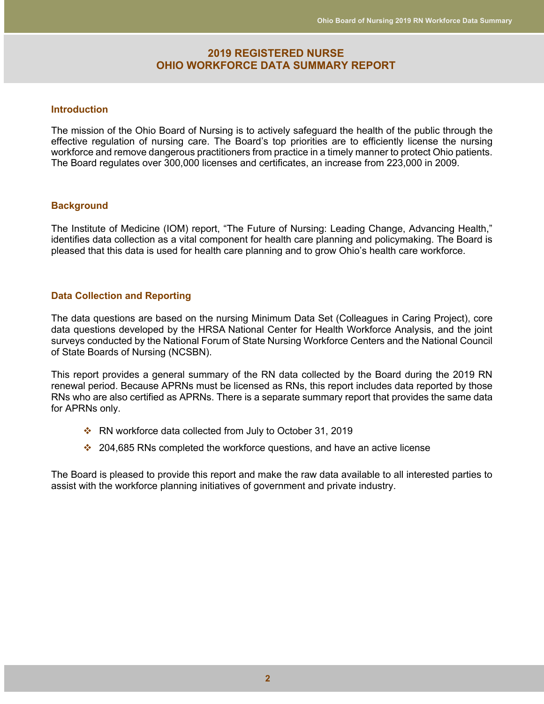#### **2019 REGISTERED NURSE OHIO WORKFORCE DATA SUMMARY REPORT**

#### **Introduction**

The mission of the Ohio Board of Nursing is to actively safeguard the health of the public through the effective regulation of nursing care. The Board's top priorities are to efficiently license the nursing workforce and remove dangerous practitioners from practice in a timely manner to protect Ohio patients. The Board regulates over 300,000 licenses and certificates, an increase from 223,000 in 2009.

#### **Background**

The Institute of Medicine (IOM) report, "The Future of Nursing: Leading Change, Advancing Health," identifies data collection as a vital component for health care planning and policymaking. The Board is pleased that this data is used for health care planning and to grow Ohio's health care workforce.

#### **Data Collection and Reporting**

The data questions are based on the nursing Minimum Data Set (Colleagues in Caring Project), core data questions developed by the HRSA National Center for Health Workforce Analysis, and the joint surveys conducted by the National Forum of State Nursing Workforce Centers and the National Council of State Boards of Nursing (NCSBN).

This report provides a general summary of the RN data collected by the Board during the 2019 RN renewal period. Because APRNs must be licensed as RNs, this report includes data reported by those RNs who are also certified as APRNs. There is a separate summary report that provides the same data for APRNs only.

- $\cdot$  RN workforce data collected from July to October 31, 2019
- $\cdot$  204,685 RNs completed the workforce questions, and have an active license

The Board is pleased to provide this report and make the raw data available to all interested parties to assist with the workforce planning initiatives of government and private industry.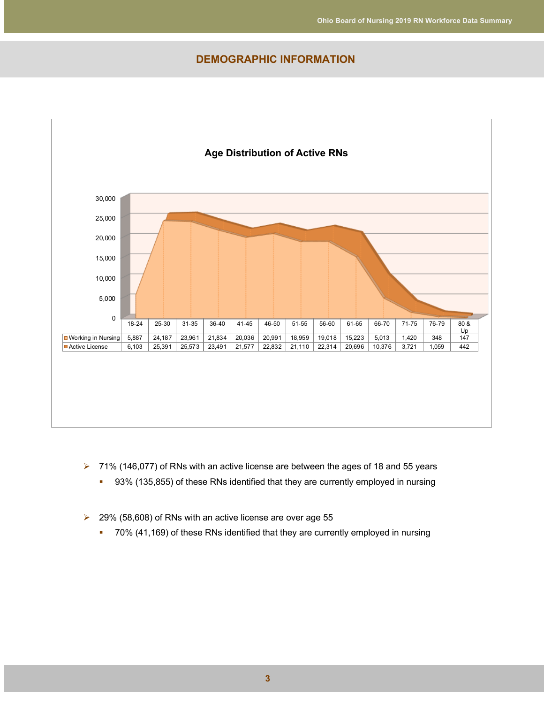#### **DEMOGRAPHIC INFORMATION**



- $\triangleright$  71% (146,077) of RNs with an active license are between the ages of 18 and 55 years
	- 93% (135,855) of these RNs identified that they are currently employed in nursing
- $\geq$  29% (58,608) of RNs with an active license are over age 55
	- § 70% (41,169) of these RNs identified that they are currently employed in nursing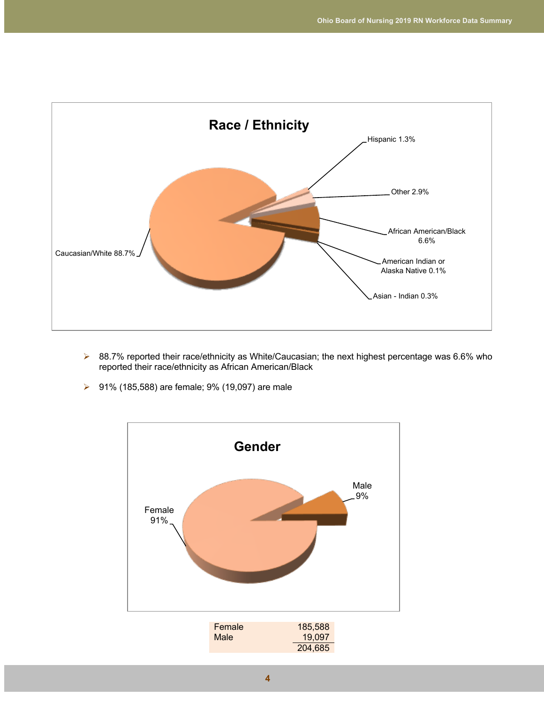

- $\triangleright$  88.7% reported their race/ethnicity as White/Caucasian; the next highest percentage was 6.6% who reported their race/ethnicity as African American/Black
- **▶ 91% (185,588) are female; 9% (19,097) are male**

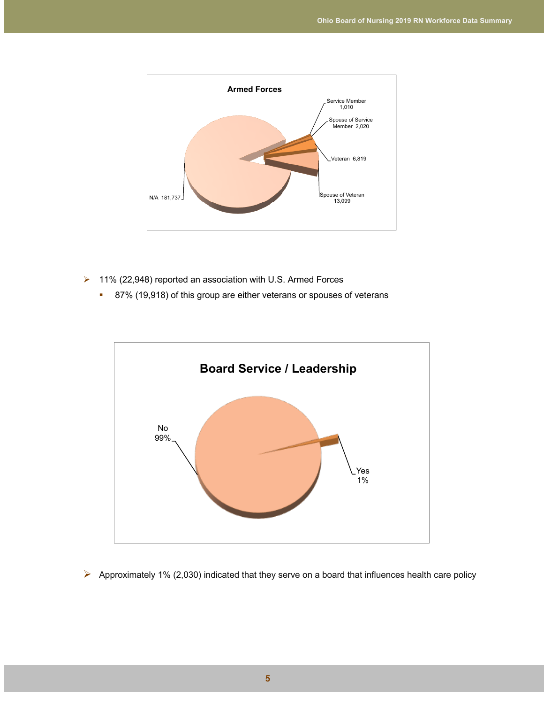

- Ø 11% (22,948) reported an association with U.S. Armed Forces
	- 87% (19,918) of this group are either veterans or spouses of veterans



 $\triangleright$  Approximately 1% (2,030) indicated that they serve on a board that influences health care policy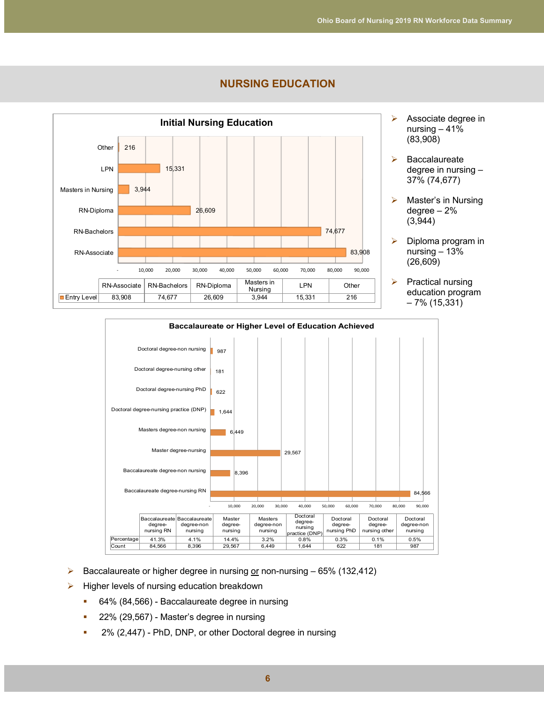

#### **NURSING EDUCATION**

- $\triangleright$  Associate degree in nursing – 41% (83,908)
- $\triangleright$  Baccalaureate degree in nursing – 37% (74,677)
- $\triangleright$  Master's in Nursing degree – 2% (3,944)
- $\triangleright$  Diploma program in nursing – 13% (26,609)
- $\triangleright$  Practical nursing education program – 7% (15,331)



- Baccalaureate or higher degree in nursing or non-nursing  $-65\%$  (132,412)
- $\triangleright$  Higher levels of nursing education breakdown
	- 64% (84,566) Baccalaureate degree in nursing
	- 22% (29,567) Master's degree in nursing
	- <sup>■</sup> 2% (2,447) PhD, DNP, or other Doctoral degree in nursing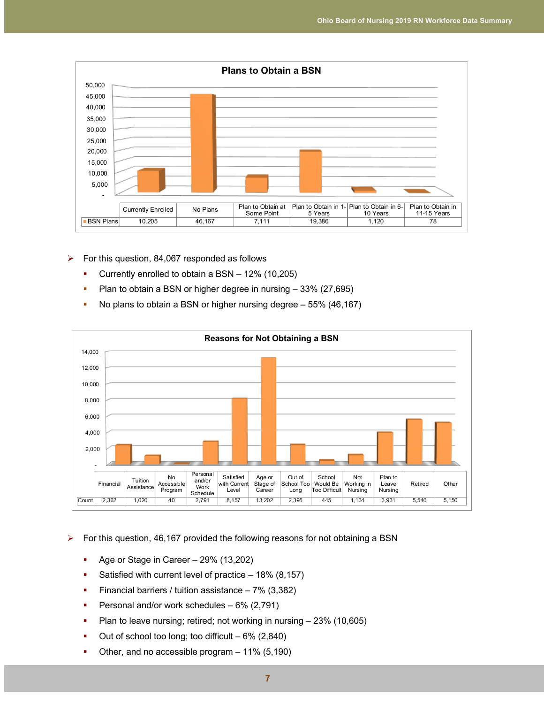

- $\triangleright$  For this question, 84,067 responded as follows
	- § Currently enrolled to obtain a BSN 12% (10,205)
	- Plan to obtain a BSN or higher degree in nursing 33% (27,695)
	- No plans to obtain a BSN or higher nursing degree 55% (46,167)



#### $\triangleright$  For this question, 46,167 provided the following reasons for not obtaining a BSN

- Age or Stage in Career 29% (13,202)
- Satisfied with current level of practice 18% (8,157)
- Financial barriers / tuition assistance 7% (3,382)
- Personal and/or work schedules 6% (2,791)
- Plan to leave nursing; retired; not working in nursing 23% (10,605)
- Out of school too long; too difficult  $-6\%$  (2,840)
- Other, and no accessible program 11% (5,190)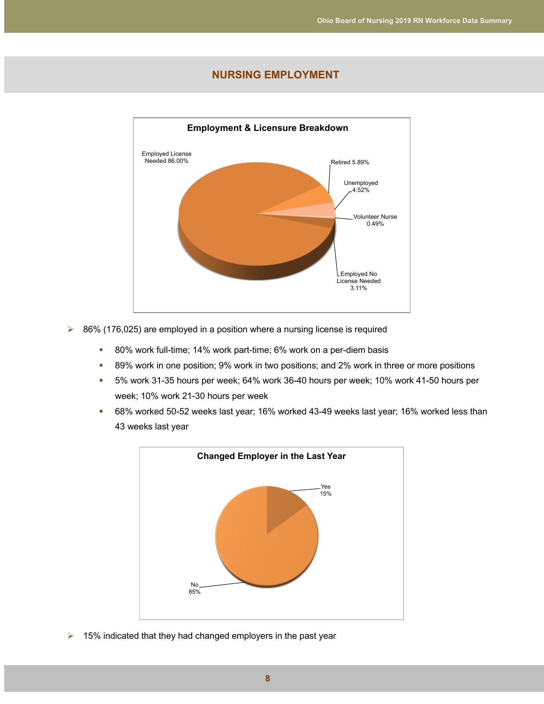#### **NURSING EMPLOYMENT**



- $\geq$  86% (176,025) are employed in a position where a nursing license is required
	- 80% work full-time; 14% work part-time; 6% work on a per-diem basis
	- § 89% work in one position; 9% work in two positions; and 2% work in three or more positions
	- § 5% work 31-35 hours per week; 64% work 36-40 hours per week; 10% work 41-50 hours per week; 10% work 21-30 hours per week
	- 68% worked 50-52 weeks last year; 16% worked 43-49 weeks last year; 16% worked less than 43 weeks last year



 $\triangleright$  15% indicated that they had changed employers in the past year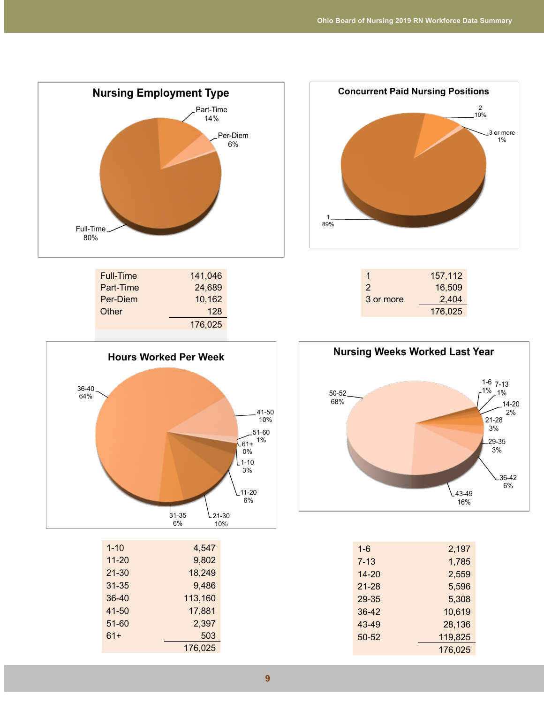

| Full-Time | 141,046 |  |
|-----------|---------|--|
| Part-Time | 24,689  |  |
| Per-Diem  | 10,162  |  |
| Other     | 128     |  |
|           | 176,025 |  |
|           |         |  |



| $1 - 10$  | 4,547   |
|-----------|---------|
| $11 - 20$ | 9,802   |
| $21 - 30$ | 18,249  |
| $31 - 35$ | 9,486   |
| 36-40     | 113,160 |
| 41-50     | 17,881  |
| 51-60     | 2,397   |
| $61+$     | 503     |
|           | 176,025 |
|           |         |



| 1             | 157,112 |
|---------------|---------|
| $\mathcal{P}$ | 16,509  |
| 3 or more     | 2,404   |
|               | 176.025 |



| $1 - 6$  | 2,197   |
|----------|---------|
| $7 - 13$ | 1,785   |
| 14-20    | 2,559   |
| 21-28    | 5,596   |
| 29-35    | 5,308   |
| 36-42    | 10,619  |
| 43-49    | 28,136  |
| 50-52    | 119,825 |
|          | 176,025 |
|          |         |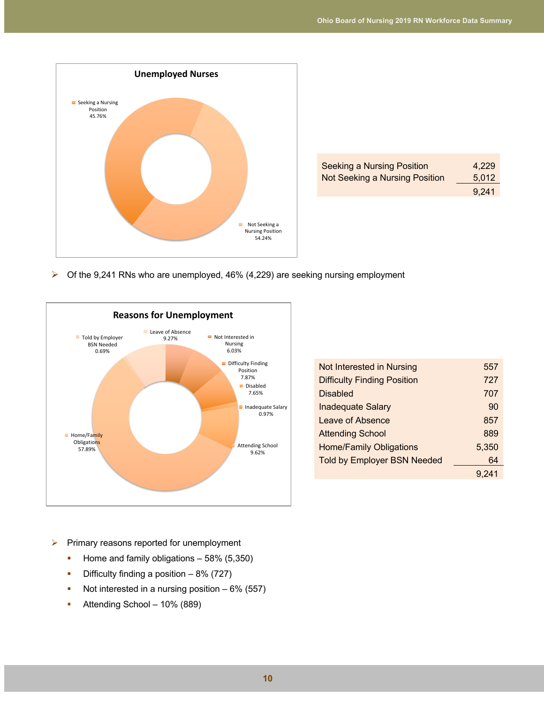

| <b>Seeking a Nursing Position</b> | 4.229 |
|-----------------------------------|-------|
| Not Seeking a Nursing Position    | 5,012 |
|                                   | 9,241 |

 $\triangleright$  Of the 9,241 RNs who are unemployed, 46% (4,229) are seeking nursing employment



| Not Interested in Nursing          | 557   |
|------------------------------------|-------|
| <b>Difficulty Finding Position</b> | 727   |
| <b>Disabled</b>                    | 707   |
| <b>Inadequate Salary</b>           | 90    |
| Leave of Absence                   | 857   |
| <b>Attending School</b>            | 889   |
| <b>Home/Family Obligations</b>     | 5,350 |
| <b>Told by Employer BSN Needed</b> | 64    |
|                                    | 9.241 |
|                                    |       |

- $\triangleright$  Primary reasons reported for unemployment
	- Home and family obligations 58% (5,350)
	- **•** Difficulty finding a position  $-8\%$  (727)
	- Not interested in a nursing position 6% (557)
	- Attending School 10% (889)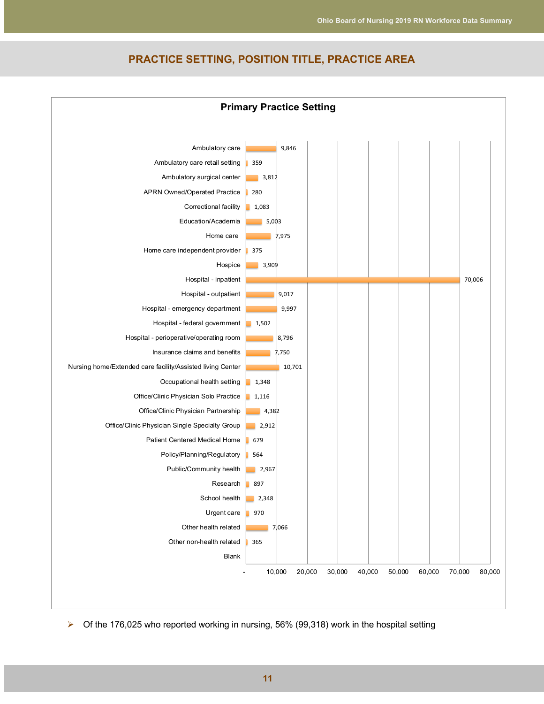

#### **PRACTICE SETTING, POSITION TITLE, PRACTICE AREA**

 $\triangleright$  Of the 176,025 who reported working in nursing, 56% (99,318) work in the hospital setting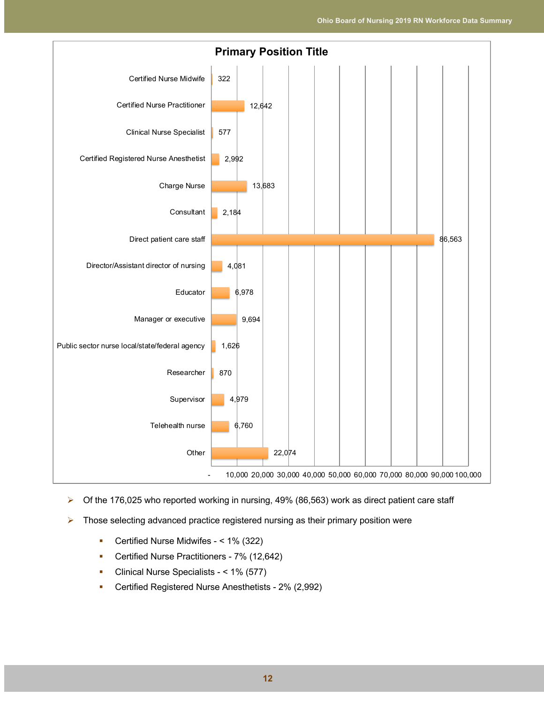

- $\triangleright$  Of the 176,025 who reported working in nursing, 49% (86,563) work as direct patient care staff
- $\triangleright$  Those selecting advanced practice registered nursing as their primary position were
	- Certified Nurse Midwifes < 1% (322)
	- Certified Nurse Practitioners 7% (12,642)
	- Clinical Nurse Specialists < 1% (577)
	- § Certified Registered Nurse Anesthetists 2% (2,992)